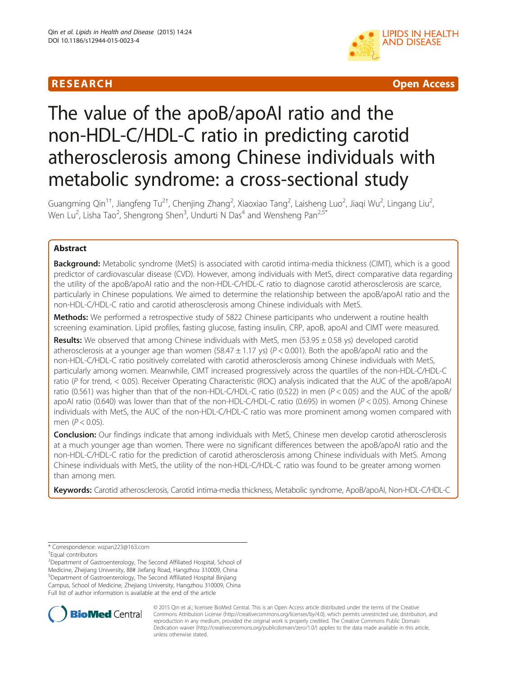# R E S EAR CH Open Access



# The value of the apoB/apoAΙ ratio and the non-HDL-C/HDL-C ratio in predicting carotid atherosclerosis among Chinese individuals with metabolic syndrome: a cross-sectional study

Guangming Qin<sup>1†</sup>, Jiangfeng Tu<sup>2†</sup>, Chenjing Zhang<sup>2</sup>, Xiaoxiao Tang<sup>2</sup>, Laisheng Luo<sup>2</sup>, Jiaqi Wu<sup>2</sup>, Lingang Liu<sup>2</sup> , Wen Lu<sup>2</sup>, Lisha Tao<sup>2</sup>, Shengrong Shen<sup>3</sup>, Undurti N Das<sup>4</sup> and Wensheng Pan<sup>2,5\*</sup>

# Abstract

Background: Metabolic syndrome (MetS) is associated with carotid intima-media thickness (CIMT), which is a good predictor of cardiovascular disease (CVD). However, among individuals with MetS, direct comparative data regarding the utility of the apoB/apoAΙ ratio and the non-HDL-C/HDL-C ratio to diagnose carotid atherosclerosis are scarce, particularly in Chinese populations. We aimed to determine the relationship between the apoB/apoAΙ ratio and the non-HDL-C/HDL-C ratio and carotid atherosclerosis among Chinese individuals with MetS.

Methods: We performed a retrospective study of 5822 Chinese participants who underwent a routine health screening examination. Lipid profiles, fasting glucose, fasting insulin, CRP, apoB, apoAΙ and CIMT were measured.

Results: We observed that among Chinese individuals with MetS, men (53.95  $\pm$  0.58 ys) developed carotid atherosclerosis at a younger age than women (58.47  $\pm$  1.17 ys) ( $P < 0.001$ ). Both the apoB/apoAI ratio and the non-HDL-C/HDL-C ratio positively correlated with carotid atherosclerosis among Chinese individuals with MetS, particularly among women. Meanwhile, CIMT increased progressively across the quartiles of the non-HDL-C/HDL-C ratio (P for trend, < 0.05). Receiver Operating Characteristic (ROC) analysis indicated that the AUC of the apoB/apoAΙ ratio (0.561) was higher than that of the non-HDL-C/HDL-C ratio (0.522) in men ( $P < 0.05$ ) and the AUC of the apoB/ apoAI ratio (0.640) was lower than that of the non-HDL-C/HDL-C ratio (0.695) in women (P < 0.05). Among Chinese individuals with MetS, the AUC of the non-HDL-C/HDL-C ratio was more prominent among women compared with men ( $P < 0.05$ ).

Conclusion: Our findings indicate that among individuals with MetS, Chinese men develop carotid atherosclerosis at a much younger age than women. There were no significant differences between the apoB/apoAΙ ratio and the non-HDL-C/HDL-C ratio for the prediction of carotid atherosclerosis among Chinese individuals with MetS. Among Chinese individuals with MetS, the utility of the non-HDL-C/HDL-C ratio was found to be greater among women than among men.

Keywords: Carotid atherosclerosis, Carotid intima-media thickness, Metabolic syndrome, ApoB/apoAΙ, Non-HDL-C/HDL-C

\* Correspondence: [wspan223@163.com](mailto:wspan223@163.com) †

Equal contributors

<sup>2</sup>Department of Gastroenterology, The Second Affiliated Hospital, School of Medicine, Zhejiang University, 88# Jiefang Road, Hangzhou 310009, China 5 Department of Gastroenterology, The Second Affiliated Hospital Binjiang Campus, School of Medicine, Zhejiang University, Hangzhou 310009, China Full list of author information is available at the end of the article



© 2015 Qin et al.; licensee BioMed Central. This is an Open Access article distributed under the terms of the Creative Commons Attribution License [\(http://creativecommons.org/licenses/by/4.0\)](http://creativecommons.org/licenses/by/4.0), which permits unrestricted use, distribution, and reproduction in any medium, provided the original work is properly credited. The Creative Commons Public Domain Dedication waiver [\(http://creativecommons.org/publicdomain/zero/1.0/](http://creativecommons.org/publicdomain/zero/1.0/)) applies to the data made available in this article, unless otherwise stated.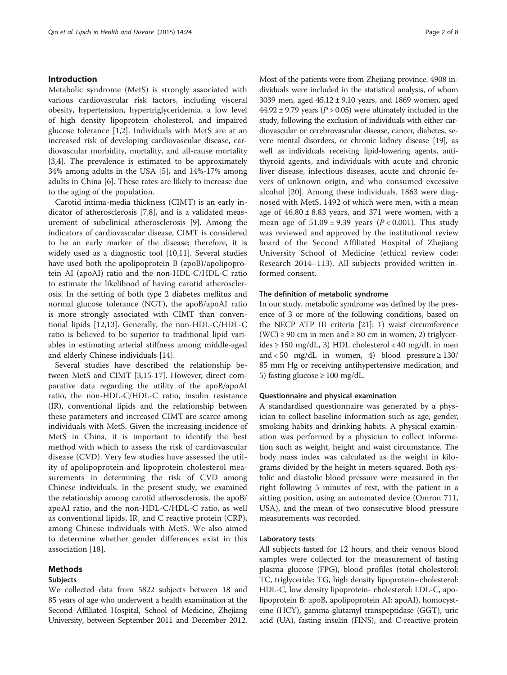## Introduction

Metabolic syndrome (MetS) is strongly associated with various cardiovascular risk factors, including visceral obesity, hypertension, hypertriglyceridemia, a low level of high density lipoprotein cholesterol, and impaired glucose tolerance [\[1](#page-6-0),[2](#page-6-0)]. Individuals with MetS are at an increased risk of developing cardiovascular disease, cardiovascular morbidity, mortality, and all-cause mortality [[3,4\]](#page-6-0). The prevalence is estimated to be approximately 34% among adults in the USA [[5\]](#page-6-0), and 14%-17% among adults in China [[6\]](#page-6-0). These rates are likely to increase due to the aging of the population.

Carotid intima-media thickness (CIMT) is an early indicator of atherosclerosis [[7,8\]](#page-6-0), and is a validated measurement of subclinical atherosclerosis [[9\]](#page-6-0). Among the indicators of cardiovascular disease, CIMT is considered to be an early marker of the disease; therefore, it is widely used as a diagnostic tool [\[10,11\]](#page-6-0). Several studies have used both the apolipoprotein B (apoB)/apolipoprotein AΙ (apoAΙ) ratio and the non-HDL-C/HDL-C ratio to estimate the likelihood of having carotid atherosclerosis. In the setting of both type 2 diabetes mellitus and normal glucose tolerance (NGT), the apoB/apoAΙ ratio is more strongly associated with CIMT than conventional lipids [\[12,13\]](#page-6-0). Generally, the non-HDL-C/HDL-C ratio is believed to be superior to traditional lipid variables in estimating arterial stiffness among middle-aged and elderly Chinese individuals [\[14](#page-6-0)].

Several studies have described the relationship between MetS and CIMT [\[3,15-17](#page-6-0)]. However, direct comparative data regarding the utility of the apoB/apoAΙ ratio, the non-HDL-C/HDL-C ratio, insulin resistance (IR), conventional lipids and the relationship between these parameters and increased CIMT are scarce among individuals with MetS. Given the increasing incidence of MetS in China, it is important to identify the best method with which to assess the risk of cardiovascular disease (CVD). Very few studies have assessed the utility of apolipoprotein and lipoprotein cholesterol measurements in determining the risk of CVD among Chinese individuals. In the present study, we examined the relationship among carotid atherosclerosis, the apoB/ apoAΙ ratio, and the non-HDL-C/HDL-C ratio, as well as conventional lipids, IR, and C reactive protein (CRP), among Chinese individuals with MetS. We also aimed to determine whether gender differences exist in this association [[18\]](#page-6-0).

We collected data from 5822 subjects between 18 and 85 years of age who underwent a health examination at the Second Affiliated Hospital, School of Medicine, Zhejiang University, between September 2011 and December 2012.

#### Methods

#### Subjects

Questionnaire and physical examination

A standardised questionnaire was generated by a physician to collect baseline information such as age, gender, smoking habits and drinking habits. A physical examination was performed by a physician to collect information such as weight, height and waist circumstance. The body mass index was calculated as the weight in kilograms divided by the height in meters squared. Both systolic and diastolic blood pressure were measured in the right following 5 minutes of rest, with the patient in a sitting position, using an automated device (Omron 711, USA), and the mean of two consecutive blood pressure measurements was recorded.

#### Laboratory tests

All subjects fasted for 12 hours, and their venous blood samples were collected for the measurement of fasting plasma glucose (FPG), blood profiles (total cholesterol: TC, triglyceride: TG, high density lipoprotein–cholesterol: HDL-C, low density lipoprotein- cholesterol: LDL-C, apolipoprotein B: apoB, apolipoprotein AΙ: apoAΙ), homocysteine (HCY), gamma-glutamyl transpeptidase (GGT), uric acid (UA), fasting insulin (FINS), and C-reactive protein

Most of the patients were from Zhejiang province. 4908 individuals were included in the statistical analysis, of whom 3039 men, aged 45.12 ± 9.10 years, and 1869 women, aged  $44.92 \pm 9.79$  years ( $P > 0.05$ ) were ultimately included in the study, following the exclusion of individuals with either cardiovascular or cerebrovascular disease, cancer, diabetes, severe mental disorders, or chronic kidney disease [[19\]](#page-6-0), as well as individuals receiving lipid-lowering agents, antithyroid agents, and individuals with acute and chronic liver disease, infectious diseases, acute and chronic fevers of unknown origin, and who consumed excessive alcohol [[20\]](#page-6-0). Among these individuals, 1863 were diagnosed with MetS, 1492 of which were men, with a mean age of  $46.80 \pm 8.83$  years, and 371 were women, with a mean age of  $51.09 \pm 9.39$  years ( $P < 0.001$ ). This study was reviewed and approved by the institutional review board of the Second Affiliated Hospital of Zhejiang University School of Medicine (ethical review code: Research 2014–113). All subjects provided written informed consent.

#### The definition of metabolic syndrome

In our study, metabolic syndrome was defined by the presence of 3 or more of the following conditions, based on the NECP ATP III criteria [\[21\]](#page-6-0): 1) waist circumference  $(WC) \ge 90$  cm in men and  $\ge 80$  cm in women, 2) triglycerides ≥ 150 mg/dL, 3) HDL cholesterol < 40 mg/dL in men and  $< 50$  mg/dL in women, 4) blood pressure  $\geq 130/$ 85 mm Hg or receiving antihypertensive medication, and 5) fasting glucose  $\geq 100$  mg/dL.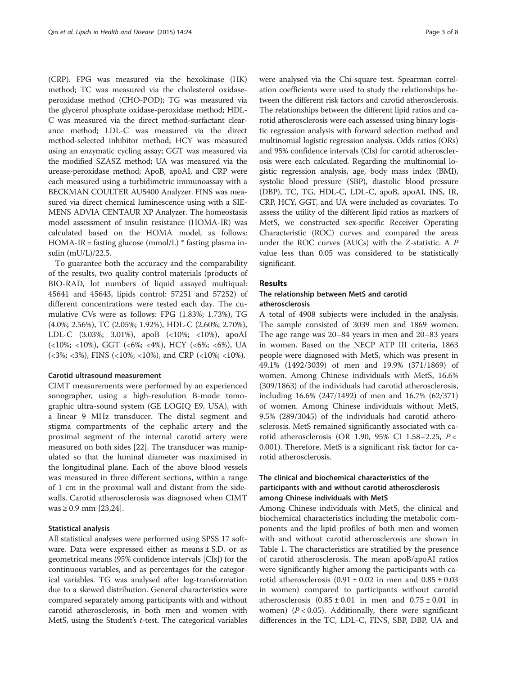(CRP). FPG was measured via the hexokinase (HK) method; TC was measured via the cholesterol oxidaseperoxidase method (CHO-POD); TG was measured via the glycerol phosphate oxidase-peroxidase method; HDL-C was measured via the direct method-surfactant clearance method; LDL-C was measured via the direct method-selected inhibitor method; HCY was measured using an enzymatic cycling assay; GGT was measured via the modified SZASZ method; UA was measured via the urease-peroxidase method; ApoB, apoAΙ, and CRP were each measured using a turbidimetric immunoassay with a BECKMAN COULTER AU5400 Analyzer. FINS was measured via direct chemical luminescence using with a SIE-MENS ADVIA CENTAUR XP Analyzer. The homeostasis model assessment of insulin resistance (HOMA-IR) was calculated based on the HOMA model, as follows:  $HOMA-IR =$  fasting glucose (mmol/L)  $*$  fasting plasma insulin (mU/L)/22.5.

To guarantee both the accuracy and the comparability of the results, two quality control materials (products of BIO-RAD, lot numbers of liquid assayed multiqual: 45641 and 45643, lipids control: 57251 and 57252) of different concentrations were tested each day. The cumulative CVs were as follows: FPG (1.83%; 1.73%), TG (4.0%; 2.56%), TC (2.05%; 1.92%), HDL-C (2.60%; 2.70%), LDL-C (3.03%; 3.01%), apoB (<10%; <10%), apoAΙ (<10%; <10%), GGT (<6%; <4%), HCY (<6%; <6%), UA (<3%; <3%), FINS (<10%; <10%), and CRP (<10%; <10%).

#### Carotid ultrasound measurement

CIMT measurements were performed by an experienced sonographer, using a high-resolution B-mode tomographic ultra-sound system (GE LOGIQ E9, USA), with a linear 9 MHz transducer. The distal segment and stigma compartments of the cephalic artery and the proximal segment of the internal carotid artery were measured on both sides [[22\]](#page-6-0). The transducer was manipulated so that the luminal diameter was maximised in the longitudinal plane. Each of the above blood vessels was measured in three different sections, within a range of 1 cm in the proximal wall and distant from the sidewalls. Carotid atherosclerosis was diagnosed when CIMT was ≥ 0.9 mm [\[23,24](#page-6-0)].

#### Statistical analysis

All statistical analyses were performed using SPSS 17 software. Data were expressed either as means  $\pm$  S.D. or as geometrical means (95% confidence intervals [CIs]) for the continuous variables, and as percentages for the categorical variables. TG was analysed after log-transformation due to a skewed distribution. General characteristics were compared separately among participants with and without carotid atherosclerosis, in both men and women with MetS, using the Student's  $t$ -test. The categorical variables

were analysed via the Chi-square test. Spearman correlation coefficients were used to study the relationships between the different risk factors and carotid atherosclerosis. The relationships between the different lipid ratios and carotid atherosclerosis were each assessed using binary logistic regression analysis with forward selection method and multinomial logistic regression analysis. Odds ratios (ORs) and 95% confidence intervals (CIs) for carotid atherosclerosis were each calculated. Regarding the multinomial logistic regression analysis, age, body mass index (BMI), systolic blood pressure (SBP), diastolic blood pressure (DBP), TC, TG, HDL-C, LDL-C, apoB, apoAΙ, INS, IR, CRP, HCY, GGT, and UA were included as covariates. To assess the utility of the different lipid ratios as markers of MetS, we constructed sex-specific Receiver Operating Characteristic (ROC) curves and compared the areas under the ROC curves (AUCs) with the Z-statistic. A P value less than 0.05 was considered to be statistically significant.

#### Results

# The relationship between MetS and carotid atherosclerosis

A total of 4908 subjects were included in the analysis. The sample consisted of 3039 men and 1869 women. The age range was 20–84 years in men and 20–83 years in women. Based on the NECP ATP III criteria, 1863 people were diagnosed with MetS, which was present in 49.1% (1492/3039) of men and 19.9% (371/1869) of women. Among Chinese individuals with MetS, 16.6% (309/1863) of the individuals had carotid atherosclerosis, including 16.6% (247/1492) of men and 16.7% (62/371) of women. Among Chinese individuals without MetS, 9.5% (289/3045) of the individuals had carotid atherosclerosis. MetS remained significantly associated with carotid atherosclerosis (OR 1.90, 95% CI 1.58–2.25, P < 0.001). Therefore, MetS is a significant risk factor for carotid atherosclerosis.

# The clinical and biochemical characteristics of the participants with and without carotid atherosclerosis among Chinese individuals with MetS

Among Chinese individuals with MetS, the clinical and biochemical characteristics including the metabolic components and the lipid profiles of both men and women with and without carotid atherosclerosis are shown in Table [1.](#page-3-0) The characteristics are stratified by the presence of carotid atherosclerosis. The mean apoB/apoAΙ ratios were significantly higher among the participants with carotid atherosclerosis  $(0.91 \pm 0.02)$  in men and  $0.85 \pm 0.03$ in women) compared to participants without carotid atherosclerosis  $(0.85 \pm 0.01)$  in men and  $(0.75 \pm 0.01)$  in women)  $(P < 0.05)$ . Additionally, there were significant differences in the TC, LDL-C, FINS, SBP, DBP, UA and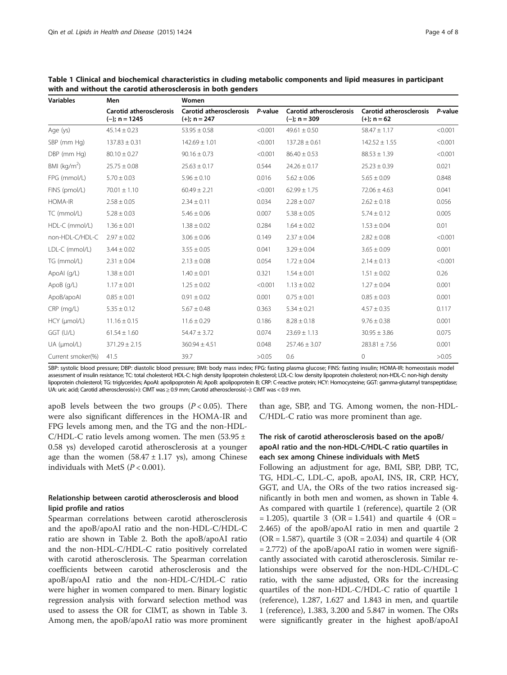| <b>Variables</b>  | Men                                               | Women                                            |         |                                           |                                                 |         |  |
|-------------------|---------------------------------------------------|--------------------------------------------------|---------|-------------------------------------------|-------------------------------------------------|---------|--|
|                   | <b>Carotid atherosclerosis</b><br>$(-); n = 1245$ | <b>Carotid atherosclerosis</b><br>$(+); n = 247$ | P-value | Carotid atherosclerosis<br>$(-); n = 309$ | <b>Carotid atherosclerosis</b><br>$(+); n = 62$ | P-value |  |
| Age (ys)          | $45.14 \pm 0.23$                                  | $53.95 \pm 0.58$                                 | < 0.001 | $49.61 \pm 0.50$                          | $58.47 \pm 1.17$                                | < 0.001 |  |
| SBP (mm Hg)       | $137.83 \pm 0.31$                                 | $142.69 \pm 1.01$                                | < 0.001 | $137.28 \pm 0.61$                         | $142.52 \pm 1.55$                               | < 0.001 |  |
| DBP (mm Hg)       | $80.10 \pm 0.27$                                  | $90.16 \pm 0.73$                                 | < 0.001 | $86.40 \pm 0.53$                          | $88.53 \pm 1.39$                                | < 0.001 |  |
| BMI ( $kg/m2$ )   | $25.75 \pm 0.08$                                  | $25.63 \pm 0.17$                                 | 0.544   | $24.26 \pm 0.17$                          | $25.23 \pm 0.39$                                | 0.021   |  |
| FPG (mmol/L)      | $5.70 \pm 0.03$                                   | $5.96 \pm 0.10$                                  | 0.016   | $5.62 \pm 0.06$                           | $5.65 \pm 0.09$                                 | 0.848   |  |
| FINS (pmol/L)     | $70.01 \pm 1.10$                                  | $60.49 \pm 2.21$                                 | < 0.001 | $62.99 \pm 1.75$                          | $72.06 \pm 4.63$                                | 0.041   |  |
| <b>HOMA-IR</b>    | $2.58 \pm 0.05$                                   | $2.34 \pm 0.11$                                  | 0.034   | $2.28 \pm 0.07$                           | $2.62 \pm 0.18$                                 | 0.056   |  |
| TC (mmol/L)       | $5.28 \pm 0.03$                                   | $5.46 \pm 0.06$                                  | 0.007   | $5.38 \pm 0.05$                           | $5.74 \pm 0.12$                                 | 0.005   |  |
| HDL-C (mmol/L)    | $1.36 \pm 0.01$                                   | $1.38 \pm 0.02$                                  | 0.284   | $1.64 \pm 0.02$                           | $1.53 \pm 0.04$                                 | 0.01    |  |
| non-HDL-C/HDL-C   | $2.97 \pm 0.02$                                   | $3.06 \pm 0.06$                                  | 0.149   | $2.37 \pm 0.04$                           | $2.82 \pm 0.08$                                 | < 0.001 |  |
| LDL-C (mmol/L)    | $3.44 \pm 0.02$                                   | $3.55 \pm 0.05$                                  | 0.041   | $3.29 \pm 0.04$                           | $3.65 \pm 0.09$                                 | 0.001   |  |
| TG (mmol/L)       | $2.31 \pm 0.04$                                   | $2.13 \pm 0.08$                                  | 0.054   | $1.72 \pm 0.04$                           | $2.14 \pm 0.13$                                 | < 0.001 |  |
| ApoAl (g/L)       | $1.38 \pm 0.01$                                   | $1.40 \pm 0.01$                                  | 0.321   | $1.54 \pm 0.01$                           | $1.51 \pm 0.02$                                 | 0.26    |  |
| ApoB (g/L)        | $1.17 \pm 0.01$                                   | $1.25 \pm 0.02$                                  | < 0.001 | $1.13 \pm 0.02$                           | $1.27 \pm 0.04$                                 | 0.001   |  |
| ApoB/apoAl        | $0.85 \pm 0.01$                                   | $0.91 \pm 0.02$                                  | 0.001   | $0.75 \pm 0.01$                           | $0.85 \pm 0.03$                                 | 0.001   |  |
| $CRP$ (mg/L)      | $5.35 \pm 0.12$                                   | $5.67 \pm 0.48$                                  | 0.363   | $5.34 \pm 0.21$                           | $4.57 \pm 0.35$                                 | 0.117   |  |
| HCY (µmol/L)      | $11.16 \pm 0.15$                                  | $11.6 \pm 0.29$                                  | 0.186   | $8.28 \pm 0.18$                           | $9.76 \pm 0.38$                                 | 0.001   |  |
| GGT (U/L)         | $61.54 \pm 1.60$                                  | $54.47 \pm 3.72$                                 | 0.074   | $23.69 \pm 1.13$                          | $30.95 \pm 3.86$                                | 0.075   |  |
| UA (µmol/L)       | $371.29 \pm 2.15$                                 | $360.94 \pm 4.51$                                | 0.048   | $257.46 \pm 3.07$                         | $283.81 \pm 7.56$                               | 0.001   |  |
| Current smoker(%) | 41.5                                              | 39.7                                             | >0.05   | 0.6                                       | 0                                               | >0.05   |  |

<span id="page-3-0"></span>Table 1 Clinical and biochemical characteristics in cluding metabolic components and lipid measures in participant with and without the carotid atherosclerosis in both genders

SBP: systolic blood pressure; DBP: diastolic blood pressure; BMI: body mass index; FPG: fasting plasma glucose; FINS: fasting insulin; HOMA-IR: homeostasis model assessment of insulin resistance; TC: total cholesterol; HDL-C: high density lipoprotein cholesterol; LDL-C: low density lipoprotein cholesterol; non-HDL-C: non-high density lipoprotein cholesterol; TG: triglycerides; ApoAΙ: apolipoprotein AΙ; ApoB: apolipoprotein B; CRP: C-reactive protein; HCY: Homocysteine; GGT: gamma-glutamyl transpeptidase; UA: uric acid; Carotid atherosclerosis(+): CIMT was ≥ 0.9 mm; Carotid atherosclerosis(−): CIMT was < 0.9 mm.

apoB levels between the two groups  $(P < 0.05)$ . There were also significant differences in the HOMA-IR and FPG levels among men, and the TG and the non-HDL-C/HDL-C ratio levels among women. The men  $(53.95 \pm$ 0.58 ys) developed carotid atherosclerosis at a younger age than the women  $(58.47 \pm 1.17 \text{ ys})$ , among Chinese individuals with MetS  $(P < 0.001)$ .

# Relationship between carotid atherosclerosis and blood lipid profile and ratios

Spearman correlations between carotid atherosclerosis and the apoB/apoAΙ ratio and the non-HDL-C/HDL-C ratio are shown in Table [2.](#page-4-0) Both the apoB/apoAΙ ratio and the non-HDL-C/HDL-C ratio positively correlated with carotid atherosclerosis. The Spearman correlation coefficients between carotid atherosclerosis and the apoB/apoAΙ ratio and the non-HDL-C/HDL-C ratio were higher in women compared to men. Binary logistic regression analysis with forward selection method was used to assess the OR for CIMT, as shown in Table [3](#page-4-0). Among men, the apoB/apoAΙ ratio was more prominent than age, SBP, and TG. Among women, the non-HDL-C/HDL-C ratio was more prominent than age.

# The risk of carotid atherosclerosis based on the apoB/ apoAΙ ratio and the non-HDL-C/HDL-C ratio quartiles in each sex among Chinese individuals with MetS

Following an adjustment for age, BMI, SBP, DBP, TC, TG, HDL-C, LDL-C, apoB, apoAΙ, INS, IR, CRP, HCY, GGT, and UA, the ORs of the two ratios increased significantly in both men and women, as shown in Table [4](#page-5-0). As compared with quartile 1 (reference), quartile 2 (OR  $= 1.205$ ), quartile 3 (OR = 1.541) and quartile 4 (OR = 2.465) of the apoB/apoAΙ ratio in men and quartile 2 ( $OR = 1.587$ ), quartile 3 ( $OR = 2.034$ ) and quartile 4 ( $OR$ = 2.772) of the apoB/apoAΙ ratio in women were significantly associated with carotid atherosclerosis. Similar relationships were observed for the non-HDL-C/HDL-C ratio, with the same adjusted, ORs for the increasing quartiles of the non-HDL-C/HDL-C ratio of quartile 1 (reference), 1.287, 1.627 and 1.843 in men, and quartile 1 (reference), 1.383, 3.200 and 5.847 in women. The ORs were significantly greater in the highest apoB/apoAΙ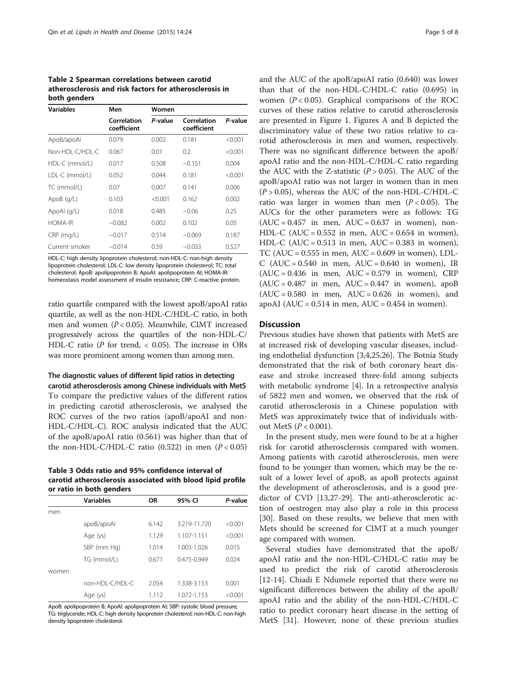<span id="page-4-0"></span>Table 2 Spearman correlations between carotid atherosclerosis and risk factors for atherosclerosis in both genders

| <b>Variables</b> | Men                        | Women   |                            |         |  |  |
|------------------|----------------------------|---------|----------------------------|---------|--|--|
|                  | Correlation<br>coefficient | P-value | Correlation<br>coefficient | P-value |  |  |
| ApoB/apoAl       | 0.079                      | 0.002   | 0.181                      | < 0.001 |  |  |
| Non-HDI-C/HDI-C  | 0.067                      | 0.01    | 0.2                        | < 0.001 |  |  |
| HDL-C (mmol/L)   | 0.017                      | 0.508   | $-0.151$                   | 0.004   |  |  |
| LDL-C (mmol/L)   | 0.052                      | 0.044   | 0.181                      | < 0.001 |  |  |
| TC (mmol/L)      | 0.07                       | 0.007   | 0.141                      | 0.006   |  |  |
| ApoB(q/L)        | 0.103                      | < 0.001 | 0.162                      | 0.002   |  |  |
| ApoAl $(q/L)$    | 0.018                      | 0.485   | $-0.06$                    | 0.25    |  |  |
| <b>HOMA-IR</b>   | $-0.082$                   | 0.002   | 0.102                      | 0.05    |  |  |
| $CRP$ (mg/L)     | $-0.017$                   | 0.514   | $-0.069$                   | 0.187   |  |  |
| Current smoker   | $-0.014$                   | 0.59    | $-0.033$                   | 0.527   |  |  |

HDL-C: high density lipoprotein cholesterol; non-HDL-C: non-high density lipoprotein cholesterol; LDL-C: low density lipoprotein cholesterol; TC: total cholesterol; ApoB: apolipoprotein B; ApoAΙ: apolipoprotein AΙ; HOMA-IR: homeostasis model assessment of insulin resistance; CRP: C-reactive protein.

ratio quartile compared with the lowest apoB/apoAΙ ratio quartile, as well as the non-HDL-C/HDL-C ratio, in both men and women (P < 0.05). Meanwhile, CIMT increased progressively across the quartiles of the non-HDL-C/ HDL-C ratio ( $P$  for trend,  $<$  0.05). The increase in ORs was more prominent among women than among men.

# The diagnostic values of different lipid ratios in detecting

carotid atherosclerosis among Chinese individuals with MetS To compare the predictive values of the different ratios in predicting carotid atherosclerosis, we analysed the ROC curves of the two ratios (apoB/apoAΙ and non-HDL-C/HDL-C). ROC analysis indicated that the AUC of the apoB/apoAΙ ratio (0.561) was higher than that of the non-HDL-C/HDL-C ratio  $(0.522)$  in men  $(P<0.05)$ 

Table 3 Odds ratio and 95% confidence interval of carotid atherosclerosis associated with blood lipid profile or ratio in both genders

|       | <b>Variables</b> | <b>OR</b> | 95% CI          | P-value |  |  |
|-------|------------------|-----------|-----------------|---------|--|--|
| men   |                  |           |                 |         |  |  |
|       | apoB/apoAl       | 6.142     | 3.219-11.720    | < 0.001 |  |  |
|       | Age (ys)         | 1.129     | 1.107-1.151     | < 0.001 |  |  |
|       | SBP (mm Hg)      | 1.014     | 1.003-1.026     | 0.015   |  |  |
|       | TG (mmol/L)      | 0.671     | $0.475 - 0.949$ | 0.024   |  |  |
| women |                  |           |                 |         |  |  |
|       | non-HDL-C/HDL-C  | 2.054     | 1.338-3.153     | 0.001   |  |  |
|       | Age (ys)         | 1.112     | 1.072-1.153     | < 0.001 |  |  |
|       |                  |           |                 |         |  |  |

ApoB: apolipoprotein B; ApoAΙ: apolipoprotein AΙ; SBP: systolic blood pressure; TG: triglyceride; HDL-C: high density lipoprotein cholesterol; non-HDL-C: non-high density lipoprotein cholesterol.

and the AUC of the apoB/apoAΙ ratio (0.640) was lower than that of the non-HDL-C/HDL-C ratio (0.695) in women  $(P < 0.05)$ . Graphical comparisons of the ROC curves of these ratios relative to carotid atherosclerosis are presented in Figure [1.](#page-5-0) Figures A and B depicted the discriminatory value of these two ratios relative to carotid atherosclerosis in men and women, respectively. There was no significant difference between the apoB/ apoAΙ ratio and the non-HDL-C/HDL-C ratio regarding the AUC with the Z-statistic  $(P > 0.05)$ . The AUC of the apoB/apoAΙ ratio was not larger in women than in men  $(P > 0.05)$ , whereas the AUC of the non-HDL-C/HDL-C ratio was larger in women than men  $(P < 0.05)$ . The AUCs for the other parameters were as follows: TG  $(AUC = 0.457$  in men,  $AUC = 0.637$  in women), non-HDL-C (AUC =  $0.552$  in men, AUC =  $0.654$  in women), HDL-C (AUC =  $0.513$  in men, AUC =  $0.383$  in women), TC (AUC =  $0.555$  in men, AUC =  $0.609$  in women), LDL-C (AUC =  $0.540$  in men, AUC =  $0.640$  in women), IR  $(AUC = 0.436$  in men,  $AUC = 0.579$  in women), CRP  $(AUC = 0.487$  in men,  $AUC = 0.447$  in women), apoB  $(AUC = 0.580$  in men,  $AUC = 0.626$  in women), and apoAI ( $AUC = 0.514$  in men,  $AUC = 0.454$  in women).

## **Discussion**

Previous studies have shown that patients with MetS are at increased risk of developing vascular diseases, including endothelial dysfunction [\[3](#page-6-0),[4](#page-6-0),[25](#page-7-0),[26](#page-7-0)]. The Botnia Study demonstrated that the risk of both coronary heart disease and stroke increased three-fold among subjects with metabolic syndrome [[4\]](#page-6-0). In a retrospective analysis of 5822 men and women, we observed that the risk of carotid atherosclerosis in a Chinese population with MetS was approximately twice that of individuals without MetS  $(P < 0.001)$ .

In the present study, men were found to be at a higher risk for carotid atherosclerosis compared with women. Among patients with carotid atherosclerosis, men were found to be younger than women, which may be the result of a lower level of apoB, as apoB protects against the development of atherosclerosis, and is a good predictor of CVD [[13](#page-6-0),[27](#page-7-0)-[29\]](#page-7-0). The anti-atherosclerotic action of oestrogen may also play a role in this process [[30\]](#page-7-0). Based on these results, we believe that men with Mets should be screened for CIMT at a much younger age compared with women.

Several studies have demonstrated that the apoB/ apoAΙ ratio and the non-HDL-C/HDL-C ratio may be used to predict the risk of carotid atherosclerosis [[12-14](#page-6-0)]. Chiadi E Ndumele reported that there were no significant differences between the ability of the apoB/ apoAΙ ratio and the ability of the non-HDL-C/HDL-C ratio to predict coronary heart disease in the setting of MetS [[31\]](#page-7-0). However, none of these previous studies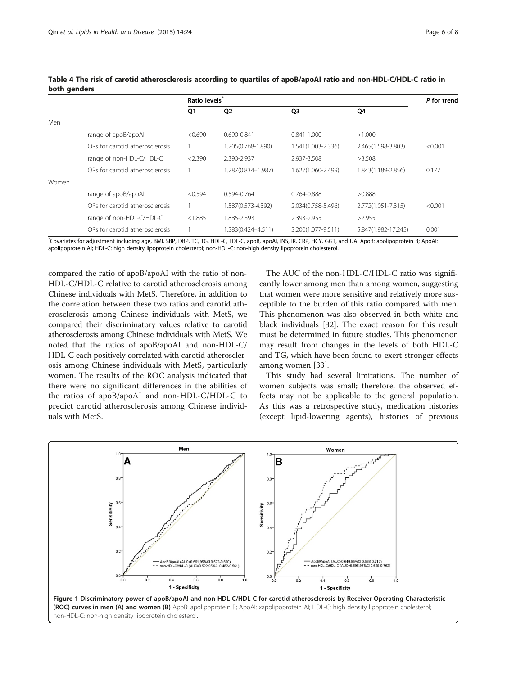|       |                                 | Ratio levels <sup>®</sup> |                    |                    |                     | P for trend |
|-------|---------------------------------|---------------------------|--------------------|--------------------|---------------------|-------------|
|       |                                 | Q1                        | Q <sub>2</sub>     | Q <sub>3</sub>     | Q4                  |             |
| Men   |                                 |                           |                    |                    |                     |             |
|       | range of apoB/apoAl             | < 0.690                   | 0.690-0.841        | $0.841 - 1.000$    | >1.000              |             |
|       | ORs for carotid atherosclerosis |                           | 1.205(0.768-1.890) | 1.541(1.003-2.336) | 2.465(1.598-3.803)  | < 0.001     |
|       | range of non-HDL-C/HDL-C        | < 2.390                   | 2.390-2.937        | 2.937-3.508        | >3.508              |             |
|       | ORs for carotid atherosclerosis |                           | 1.287(0.834-1.987) | 1.627(1.060-2.499) | 1.843(1.189-2.856)  | 0.177       |
| Women |                                 |                           |                    |                    |                     |             |
|       | range of apoB/apoAl             | < 0.594                   | 0.594-0.764        | 0.764-0.888        | >0.888              |             |
|       | ORs for carotid atherosclerosis |                           | 1.587(0.573-4.392) | 2.034(0.758-5.496) | 2.772(1.051-7.315)  | < 0.001     |
|       | range of non-HDL-C/HDL-C        | < 1.885                   | 885-2.393          | 2.393-2.955        | >2.955              |             |
|       | ORs for carotid atherosclerosis |                           | 1.383(0.424-4.511) | 3.200(1.077-9.511) | 5.847(1.982-17.245) | 0.001       |

<span id="page-5-0"></span>Table 4 The risk of carotid atherosclerosis according to quartiles of apoB/apoAΙ ratio and non-HDL-C/HDL-C ratio in both genders

\* Covariates for adjustment including age, BMI, SBP, DBP, TC, TG, HDL-C, LDL-C, apoB, apoAΙ, INS, IR, CRP, HCY, GGT, and UA. ApoB: apolipoprotein B; ApoAΙ: apolipoprotein AΙ; HDL-C: high density lipoprotein cholesterol; non-HDL-C: non-high density lipoprotein cholesterol.

compared the ratio of apoB/apoAΙ with the ratio of non-HDL-C/HDL-C relative to carotid atherosclerosis among Chinese individuals with MetS. Therefore, in addition to the correlation between these two ratios and carotid atherosclerosis among Chinese individuals with MetS, we compared their discriminatory values relative to carotid atherosclerosis among Chinese individuals with MetS. We noted that the ratios of apoB/apoAΙ and non-HDL-C/ HDL-C each positively correlated with carotid atherosclerosis among Chinese individuals with MetS, particularly women. The results of the ROC analysis indicated that there were no significant differences in the abilities of the ratios of apoB/apoAΙ and non-HDL-C/HDL-C to predict carotid atherosclerosis among Chinese individuals with MetS.

The AUC of the non-HDL-C/HDL-C ratio was significantly lower among men than among women, suggesting that women were more sensitive and relatively more susceptible to the burden of this ratio compared with men. This phenomenon was also observed in both white and black individuals [\[32](#page-7-0)]. The exact reason for this result must be determined in future studies. This phenomenon may result from changes in the levels of both HDL-C and TG, which have been found to exert stronger effects among women [[33](#page-7-0)].

This study had several limitations. The number of women subjects was small; therefore, the observed effects may not be applicable to the general population. As this was a retrospective study, medication histories (except lipid-lowering agents), histories of previous

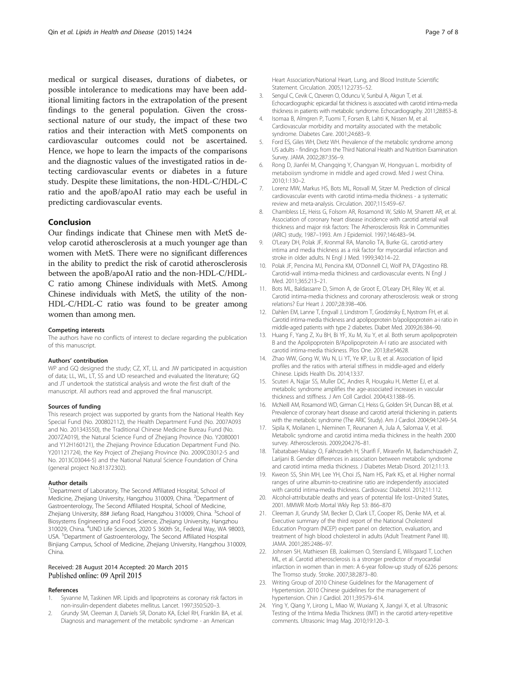<span id="page-6-0"></span>medical or surgical diseases, durations of diabetes, or possible intolerance to medications may have been additional limiting factors in the extrapolation of the present findings to the general population. Given the crosssectional nature of our study, the impact of these two ratios and their interaction with MetS components on cardiovascular outcomes could not be ascertained. Hence, we hope to learn the impacts of the comparisons and the diagnostic values of the investigated ratios in detecting cardiovascular events or diabetes in a future study. Despite these limitations, the non-HDL-C/HDL-C ratio and the apoB/apoAΙ ratio may each be useful in predicting cardiovascular events.

### Conclusion

Our findings indicate that Chinese men with MetS develop carotid atherosclerosis at a much younger age than women with MetS. There were no significant differences in the ability to predict the risk of carotid atherosclerosis between the apoB/apoAΙ ratio and the non-HDL-C/HDL-C ratio among Chinese individuals with MetS. Among Chinese individuals with MetS, the utility of the non-HDL-C/HDL-C ratio was found to be greater among women than among men.

#### Competing interests

The authors have no conflicts of interest to declare regarding the publication of this manuscript.

#### Authors' contribution

WP and GQ designed the study; CZ, XT, LL and JW participated in acquisition of data; LL, WL, LT, SS and UD researched and evaluated the literature; GQ and JT undertook the statistical analysis and wrote the first draft of the manuscript. All authors read and approved the final manuscript.

#### Sources of funding

This research project was supported by grants from the National Health Key Special Fund (No. 200802112), the Health Department Fund (No. 2007A093 and No. 201343550), the Traditional Chinese Medicine Bureau Fund (No. 2007ZA019), the Natural Science Fund of Zhejiang Province (No. Y2080001 and Y12H160121), the Zhejiang Province Education Department Fund (No. Y201121724), the Key Project of Zhejiang Province (No. 2009C03012-5 and No. 2013C03044-5) and the National Natural Science Foundation of China (general project No.81372302).

#### Author details

<sup>1</sup>Department of Laboratory, The Second Affiliated Hospital, School of Medicine, Zhejiang University, Hangzhou 310009, China. <sup>2</sup>Department of Gastroenterology, The Second Affiliated Hospital, School of Medicine, Zhejiang University, 88# Jiefang Road, Hangzhou 310009, China. <sup>3</sup>School of Biosystems Engineering and Food Science, Zhejiang University, Hangzhou 310029, China. <sup>4</sup>UND Life Sciences, 2020 S 360th St., Federal Way, WA 98003, USA. <sup>5</sup>Department of Gastroenterology, The Second Affiliated Hospital Binjiang Campus, School of Medicine, Zhejiang University, Hangzhou 310009, China.

#### Received: 28 August 2014 Accepted: 20 March 2015 Published online: 09 April 2015

#### References

- 1. Syvanne M, Taskinen MR. Lipids and lipoproteins as coronary risk factors in non-insulin-dependent diabetes mellitus. Lancet. 1997;350:Si20–3.
- 2. Grundy SM, Cleeman JI, Daniels SR, Donato KA, Eckel RH, Franklin BA, et al. Diagnosis and management of the metabolic syndrome - an American

Heart Association/National Heart, Lung, and Blood Institute Scientific Statement. Circulation. 2005;112:2735–52.

- 3. Sengul C, Cevik C, Ozveren O, Oduncu V, Sunbul A, Akgun T, et al. Echocardiographic epicardial fat thickness is associated with carotid intima-media thickness in patients with metabolic syndrome. Echocardiography. 2011;28:853–8.
- 4. Isomaa B, Almgren P, Tuomi T, Forsen B, Lahti K, Nissen M, et al. Cardiovascular morbidity and mortality associated with the metabolic syndrome. Diabetes Care. 2001;24:683–9.
- 5. Ford ES, Giles WH, Dietz WH. Prevalence of the metabolic syndrome among US adults - findings from the Third National Health and Nutrition Examination Survey. JAMA. 2002;287:356–9.
- 6. Rong D, Jianfei M, Changqing Y, Changyan W, Hongyuan L. morbidity of metaboiism syndrome in middle and aged crowd. Med J west China. 2010;1:130–2.
- Lorenz MW, Markus HS, Bots ML, Rosvall M, Sitzer M. Prediction of clinical cardiovascular events with carotid intima-media thickness - a systematic review and meta-analysis. Circulation. 2007;115:459–67.
- Chambless LE, Heiss G, Folsom AR, Rosamond W, Szklo M, Sharrett AR, et al. Association of coronary heart disease incidence with carotid arterial wall thickness and major risk factors: The Atherosclerosis Risk in Communities (ARIC) study, 1987–1993. Am J Epidemiol. 1997;146:483–94.
- 9. O'Leary DH, Polak JF, Kronmal RA, Manolio TA, Burke GL. carotid-artery intima and media thickness as a risk factor for myocardial infarction and stroke in older adults. N Engl J Med. 1999;340:14–22.
- 10. Polak JF, Pencina MJ, Pencina KM, O'Donnell CJ, Wolf PA, D'Agostino RB. Carotid-wall intima-media thickness and cardiovascular events. N Engl J Med. 2011;365:213–21.
- 11. Bots ML, Baldassarre D, Simon A, de Groot E, O'Leary DH, Riley W, et al. Carotid intima-media thickness and coronary atherosclerosis: weak or strong relations? Eur Heart J. 2007;28:398–406.
- 12. Dahlen EM, Lanne T, Engvall J, Lindstrom T, Grodzinsky E, Nystrom FH, et al. Carotid intima-media thickness and apolipoprotein b/apolipoprotein a-i ratio in middle-aged patients with type 2 diabetes. Diabet Med. 2009;26:384–90.
- 13. Huang F, Yang Z, Xu BH, Bi YF, Xu M, Xu Y, et al. Both serum apolipoprotein B and the Apolipoprotein B/Apolipoprotein A-I ratio are associated with carotid intima-media thickness. Plos One. 2013;8:e54628.
- 14. Zhao WW, Gong W, Wu N, Li YT, Ye KP, Lu B, et al. Association of lipid profiles and the ratios with arterial stiffness in middle-aged and elderly Chinese. Lipids Health Dis. 2014;13:37.
- 15. Scuteri A, Najjar SS, Muller DC, Andres R, Hougaku H, Metter EJ, et al. metabolic syndrome amplifies the age-associated increases in vascular thickness and stiffness. J Am Coll Cardiol. 2004;43:1388–95.
- 16. McNeill AM, Rosamond WD, Girman CJ, Heiss G, Golden SH, Duncan BB, et al. Prevalence of coronary heart disease and carotid arterial thickening in. patients with the metabolic syndrome (The ARIC Study). Am J Cardiol. 2004;94:1249–54.
- 17. Sipila K, Moilanen L, Nieminen T, Reunanen A, Jula A, Salomaa V, et al. Metabolic syndrome and carotid intima media thickness in the health 2000 survey. Atherosclerosis. 2009;204:276–81.
- 18. Tabatabaei-Malazy O, Fakhrzadeh H, Sharifi F, Mirarefin M, Badamchizadeh Z, Larijani B. Gender differences in association between metabolic syndrome and carotid intima media thickness. J Diabetes Metab Disord. 2012;11:13.
- 19. Kweon SS, Shin MH, Lee YH, Choi JS, Nam HS, Park KS, et al. Higher normal ranges of urine albumin-to-creatinine ratio are independently associated with carotid intima-media thickness. Cardiovasc Diabetol. 2012;11:112.
- 20. Alcohol-attributable deaths and years of potential life lost–United States, 2001. MMWR Morb Mortal Wkly Rep 53: 866–870
- 21. Cleeman JI, Grundy SM, Becker D, Clark LT, Cooper RS, Denke MA, et al. Executive summary of the third report of the National Cholesterol Education Program (NCEP) expert panel on detection, evaluation, and treatment of high blood cholesterol in adults (Adult Treatment Panel III). JAMA. 2001;285:2486–97.
- 22. Johnsen SH, Mathiesen EB, Joakimsen O, Stensland E, Wilsgaard T, Lochen ML, et al. Carotid atherosclerosis is a stronger predictor of myocardial infarction in women than in men: A 6-year follow-up study of 6226 persons: The Tromso study. Stroke. 2007;38:2873–80.
- 23. Writing Group of 2010 Chinese Guidelines for the Management of Hypertension. 2010 Chinese guidelines for the management of hypertension. Chin J Cardiol. 2011;39:579–614.
- 24. Ying Y, Qiang Y, Lirong L, Miao W, Wuxiang X, Jiangyi X, et al. Ultrasonic Testing of the Intima Media Thickness (IMT) in the carotid artery-repetitive comments. Ultrasonic Imag Mag. 2010;19:120–3.